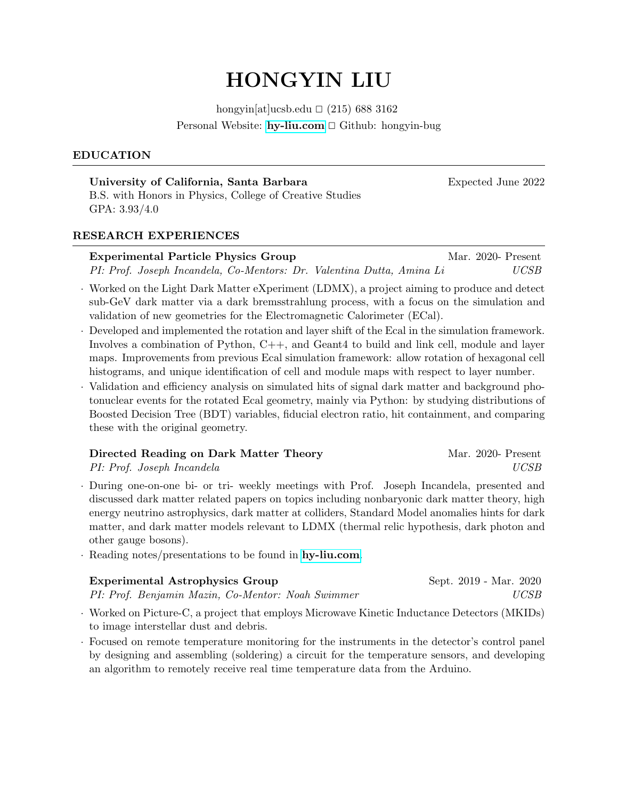# HONGYIN LIU

hongyin[at]ucsb.edu  $\Box$  (215) 688 3162 Personal Website:  $hy\text{-}liu\text{-}com \square$  Github: hongyin-bug

## EDUCATION

University of California, Santa Barbara **Expected June 2022** B.S. with Honors in Physics, College of Creative Studies GPA: 3.93/4.0

#### RESEARCH EXPERIENCES

## Experimental Particle Physics Group Mar. 2020- Present PI: Prof. Joseph Incandela, Co-Mentors: Dr. Valentina Dutta, Amina Li UCSB

- · Worked on the Light Dark Matter eXperiment (LDMX), a project aiming to produce and detect sub-GeV dark matter via a dark bremsstrahlung process, with a focus on the simulation and validation of new geometries for the Electromagnetic Calorimeter (ECal).
- Developed and implemented the rotation and layer shift of the Ecal in the simulation framework. Involves a combination of Python, C++, and Geant4 to build and link cell, module and layer maps. Improvements from previous Ecal simulation framework: allow rotation of hexagonal cell histograms, and unique identification of cell and module maps with respect to layer number.
- · Validation and efficiency analysis on simulated hits of signal dark matter and background photonuclear events for the rotated Ecal geometry, mainly via Python: by studying distributions of Boosted Decision Tree (BDT) variables, fiducial electron ratio, hit containment, and comparing these with the original geometry.

| Directed Reading on Dark Matter Theory | Mar. 2020- Present |
|----------------------------------------|--------------------|
| PI: Prof. Joseph Incandela             | UCSB               |

- · During one-on-one bi- or tri- weekly meetings with Prof. Joseph Incandela, presented and discussed dark matter related papers on topics including nonbaryonic dark matter theory, high energy neutrino astrophysics, dark matter at colliders, Standard Model anomalies hints for dark matter, and dark matter models relevant to LDMX (thermal relic hypothesis, dark photon and other gauge bosons).
- · Reading notes/presentations to be found in [hy-liu.com](https://www.hy-liu.com/research.html).

| <b>Experimental Astrophysics Group</b>            | Sept. 2019 - Mar. 2020 |
|---------------------------------------------------|------------------------|
| PI: Prof. Benjamin Mazin, Co-Mentor: Noah Swimmer | UCSB                   |

- · Worked on Picture-C, a project that employs Microwave Kinetic Inductance Detectors (MKIDs) to image interstellar dust and debris.
- · Focused on remote temperature monitoring for the instruments in the detector's control panel by designing and assembling (soldering) a circuit for the temperature sensors, and developing an algorithm to remotely receive real time temperature data from the Arduino.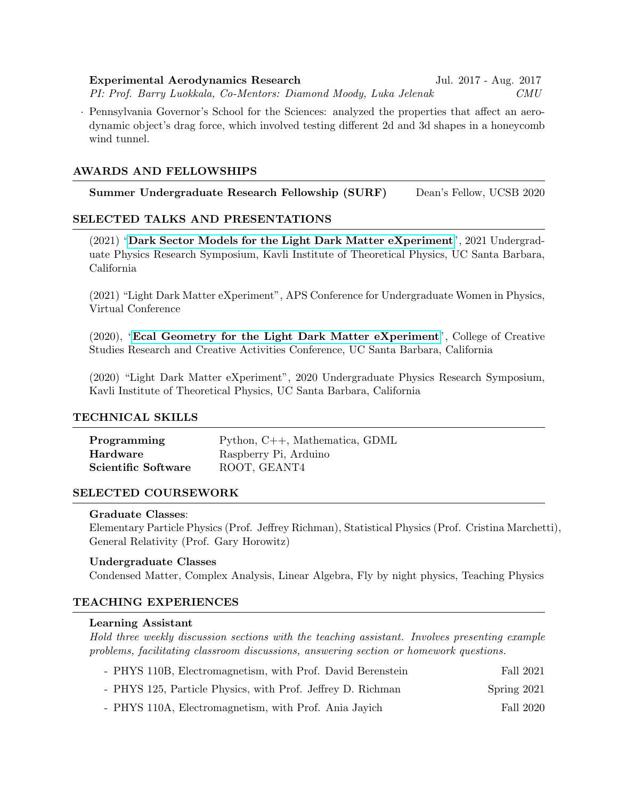Experimental Aerodynamics Research Jul. 2017 - Aug. 2017 PI: Prof. Barry Luokkala, Co-Mentors: Diamond Moody, Luka Jelenak CMU

· Pennsylvania Governor's School for the Sciences: analyzed the properties that affect an aerodynamic object's drag force, which involved testing different 2d and 3d shapes in a honeycomb wind tunnel.

## AWARDS AND FELLOWSHIPS

Summer Undergraduate Research Fellowship (SURF) Dean's Fellow, UCSB 2020

## SELECTED TALKS AND PRESENTATIONS

(2021) "[Dark Sector Models for the Light Dark Matter eXperiment](https://www.hy-liu.com/uploads/1/3/6/4/136447614/dark_sector_models_for_the_light_dark_matter_experiment.pdf)", 2021 Undergraduate Physics Research Symposium, Kavli Institute of Theoretical Physics, UC Santa Barbara, California

(2021) "Light Dark Matter eXperiment", APS Conference for Undergraduate Women in Physics, Virtual Conference

(2020), "[Ecal Geometry for the Light Dark Matter eXperiment](https://raca-con.ccs.ucsb.edu/projects/ecal-geometry-light-dark-matter-experiment)", College of Creative Studies Research and Creative Activities Conference, UC Santa Barbara, California

(2020) "Light Dark Matter eXperiment", 2020 Undergraduate Physics Research Symposium, Kavli Institute of Theoretical Physics, UC Santa Barbara, California

#### TECHNICAL SKILLS

| Programming         | Python, $C_{++}$ , Mathematica, GDML |
|---------------------|--------------------------------------|
| Hardware            | Raspberry Pi, Arduino                |
| Scientific Software | ROOT, GEANT4                         |

#### SELECTED COURSEWORK

#### Graduate Classes:

Elementary Particle Physics (Prof. Jeffrey Richman), Statistical Physics (Prof. Cristina Marchetti), General Relativity (Prof. Gary Horowitz)

#### Undergraduate Classes

Condensed Matter, Complex Analysis, Linear Algebra, Fly by night physics, Teaching Physics

## TEACHING EXPERIENCES

#### Learning Assistant

Hold three weekly discussion sections with the teaching assistant. Involves presenting example problems, facilitating classroom discussions, answering section or homework questions.

| - PHYS 110B, Electromagnetism, with Prof. David Berenstein  | Fall 2021   |
|-------------------------------------------------------------|-------------|
| - PHYS 125, Particle Physics, with Prof. Jeffrey D. Richman | Spring 2021 |

- PHYS 110A, Electromagnetism, with Prof. Ania Jayich Fall 2020